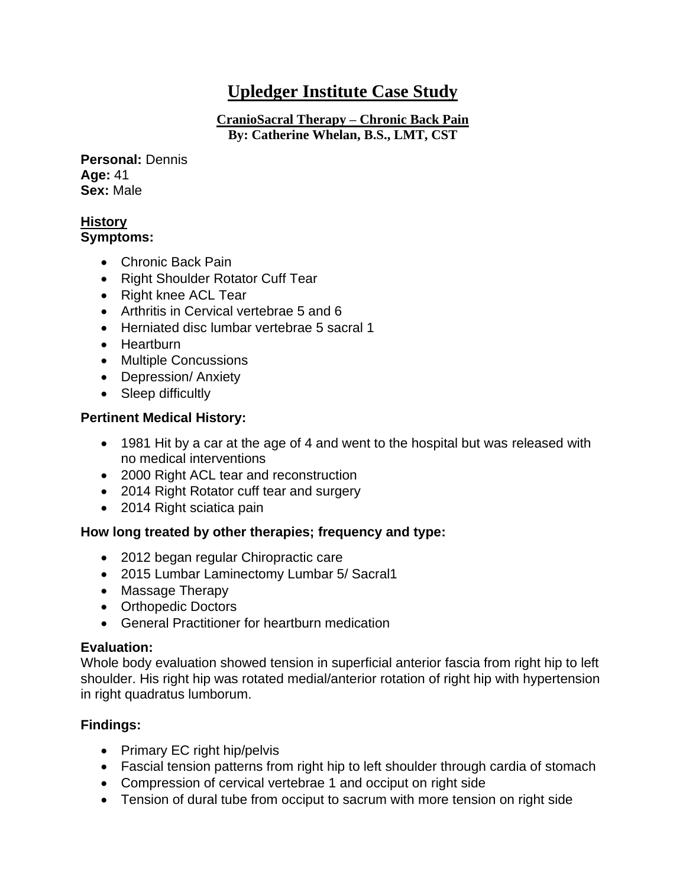# **Upledger Institute Case Study**

**CranioSacral Therapy – Chronic Back Pain By: Catherine Whelan, B.S., LMT, CST**

**Personal:** Dennis **Age:** 41 **Sex:** Male

# **History**

# **Symptoms:**

- Chronic Back Pain
- Right Shoulder Rotator Cuff Tear
- Right knee ACL Tear
- Arthritis in Cervical vertebrae 5 and 6
- Herniated disc lumbar vertebrae 5 sacral 1
- Heartburn
- Multiple Concussions
- Depression/ Anxiety
- Sleep difficultly

## **Pertinent Medical History:**

- 1981 Hit by a car at the age of 4 and went to the hospital but was released with no medical interventions
- 2000 Right ACL tear and reconstruction
- 2014 Right Rotator cuff tear and surgery
- 2014 Right sciatica pain

## **How long treated by other therapies; frequency and type:**

- 2012 began regular Chiropractic care
- 2015 Lumbar Laminectomy Lumbar 5/ Sacral1
- Massage Therapy
- Orthopedic Doctors
- General Practitioner for heartburn medication

## **Evaluation:**

Whole body evaluation showed tension in superficial anterior fascia from right hip to left shoulder. His right hip was rotated medial/anterior rotation of right hip with hypertension in right quadratus lumborum.

## **Findings:**

- Primary EC right hip/pelvis
- Fascial tension patterns from right hip to left shoulder through cardia of stomach
- Compression of cervical vertebrae 1 and occiput on right side
- Tension of dural tube from occiput to sacrum with more tension on right side